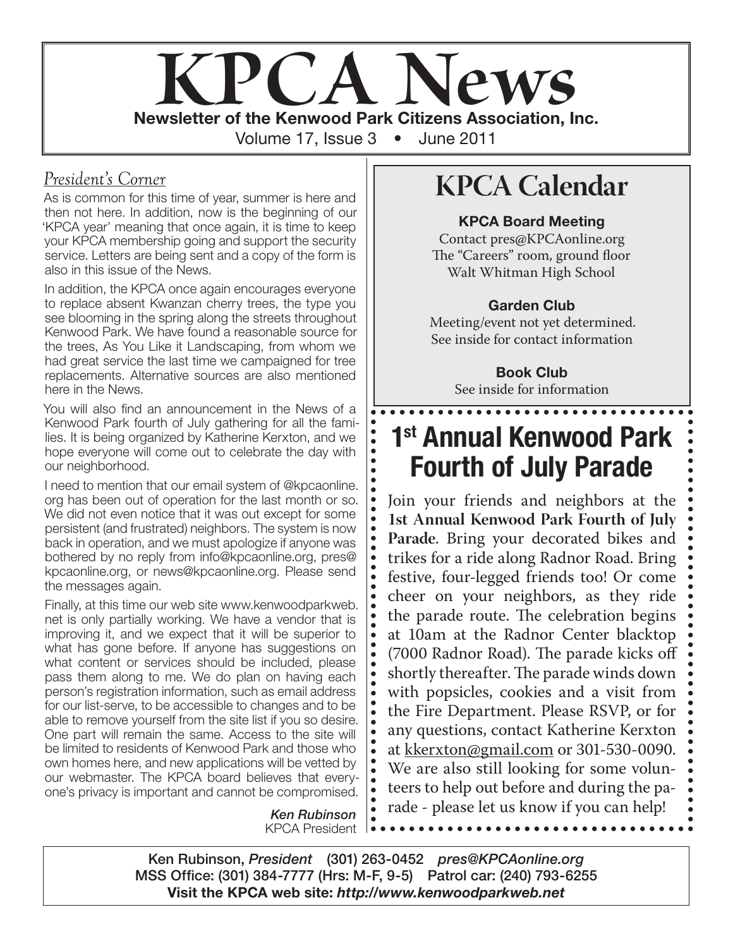

 $\ddot{\bullet}$ 

 $\bullet$ 

 $\bullet$ 

### *President's Corner*

As is common for this time of year, summer is here and then not here. In addition, now is the beginning of our 'KPCA year' meaning that once again, it is time to keep your KPCA membership going and support the security service. Letters are being sent and a copy of the form is also in this issue of the News.

In addition, the KPCA once again encourages everyone to replace absent Kwanzan cherry trees, the type you see blooming in the spring along the streets throughout Kenwood Park. We have found a reasonable source for the trees, As You Like it Landscaping, from whom we had great service the last time we campaigned for tree replacements. Alternative sources are also mentioned here in the News.

You will also find an announcement in the News of a Kenwood Park fourth of July gathering for all the families. It is being organized by Katherine Kerxton, and we hope everyone will come out to celebrate the day with our neighborhood.

I need to mention that our email system of @kpcaonline. org has been out of operation for the last month or so. We did not even notice that it was out except for some persistent (and frustrated) neighbors. The system is now back in operation, and we must apologize if anyone was bothered by no reply from info@kpcaonline.org, pres@ kpcaonline.org, or news@kpcaonline.org. Please send the messages again.

Finally, at this time our web site www.kenwoodparkweb. net is only partially working. We have a vendor that is improving it, and we expect that it will be superior to what has gone before. If anyone has suggestions on what content or services should be included, please pass them along to me. We do plan on having each person's registration information, such as email address for our list-serve, to be accessible to changes and to be able to remove yourself from the site list if you so desire. One part will remain the same. Access to the site will be limited to residents of Kenwood Park and those who own homes here, and new applications will be vetted by our webmaster. The KPCA board believes that everyone's privacy is important and cannot be compromised.

> *Ken Rubinson* KPCA President

## **KPCA Calendar**

#### KPCA Board Meeting

Contact pres@KPCAonline.org The "Careers" room, ground floor Walt Whitman High School

### Garden Club

Meeting/event not yet determined. See inside for contact information

> Book Club See inside for information

. . . . . . . . . . . . . . . .

## 1st Annual Kenwood Park Fourth of July Parade

Join your friends and neighbors at the **1st Annual Kenwood Park Fourth of July Parade**. Bring your decorated bikes and trikes for a ride along Radnor Road. Bring festive, four-legged friends too! Or come cheer on your neighbors, as they ride the parade route. The celebration begins at 10am at the Radnor Center blacktop (7000 Radnor Road). The parade kicks off shortly thereafter. The parade winds down with popsicles, cookies and a visit from the Fire Department. Please RSVP, or for any questions, contact Katherine Kerxton at kkerxton@gmail.com or 301-530-0090. We are also still looking for some volunteers to help out before and during the parade - please let us know if you can help!

Ken Rubinson, *President* (301) 263-0452 *pres@KPCAonline.org* MSS Office: (301) 384-7777 (Hrs: M-F, 9-5) Patrol car: (240) 793-6255 Visit the KPCA web site: *http://www.kenwoodparkweb.net*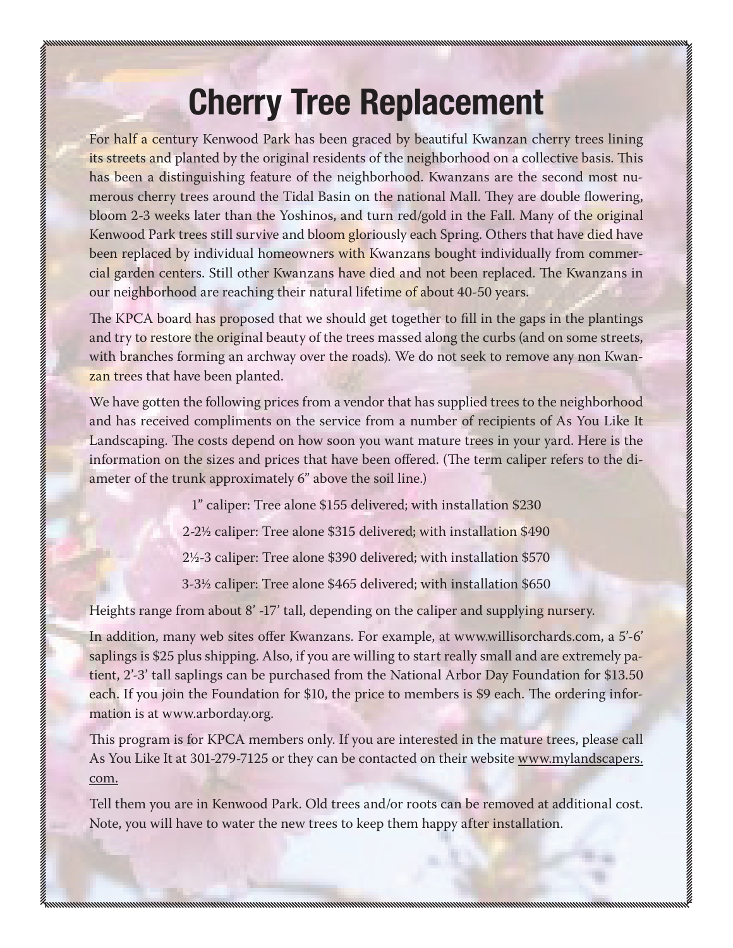# Cherry Tree Replacement

For half a century Kenwood Park has been graced by beautiful Kwanzan cherry trees lining its streets and planted by the original residents of the neighborhood on a collective basis. This has been a distinguishing feature of the neighborhood. Kwanzans are the second most numerous cherry trees around the Tidal Basin on the national Mall. They are double flowering, bloom 2-3 weeks later than the Yoshinos, and turn red/gold in the Fall. Many of the original Kenwood Park trees still survive and bloom gloriously each Spring. Others that have died have been replaced by individual homeowners with Kwanzans bought individually from commercial garden centers. Still other Kwanzans have died and not been replaced. The Kwanzans in our neighborhood are reaching their natural lifetime of about 40-50 years.

The KPCA board has proposed that we should get together to fill in the gaps in the plantings and try to restore the original beauty of the trees massed along the curbs (and on some streets, with branches forming an archway over the roads). We do not seek to remove any non Kwanzan trees that have been planted.

We have gotten the following prices from a vendor that has supplied trees to the neighborhood and has received compliments on the service from a number of recipients of As You Like It Landscaping. The costs depend on how soon you want mature trees in your yard. Here is the information on the sizes and prices that have been offered. (The term caliper refers to the diameter of the trunk approximately 6" above the soil line.)

1" caliper: Tree alone \$155 delivered; with installation \$230

2-2½ caliper: Tree alone \$315 delivered; with installation \$490

2½-3 caliper: Tree alone \$390 delivered; with installation \$570

3-3½ caliper: Tree alone \$465 delivered; with installation \$650

Heights range from about 8' -17' tall, depending on the caliper and supplying nursery.

In addition, many web sites offer Kwanzans. For example, at www.willisorchards.com, a 5'-6' saplings is \$25 plus shipping. Also, if you are willing to start really small and are extremely patient, 2'-3' tall saplings can be purchased from the National Arbor Day Foundation for \$13.50 each. If you join the Foundation for \$10, the price to members is \$9 each. The ordering information is at www.arborday.org.

This program is for KPCA members only. If you are interested in the mature trees, please call As You Like It at 301-279-7125 or they can be contacted on their website www.mylandscapers. com.

Tell them you are in Kenwood Park. Old trees and/or roots can be removed at additional cost. Note, you will have to water the new trees to keep them happy after installation.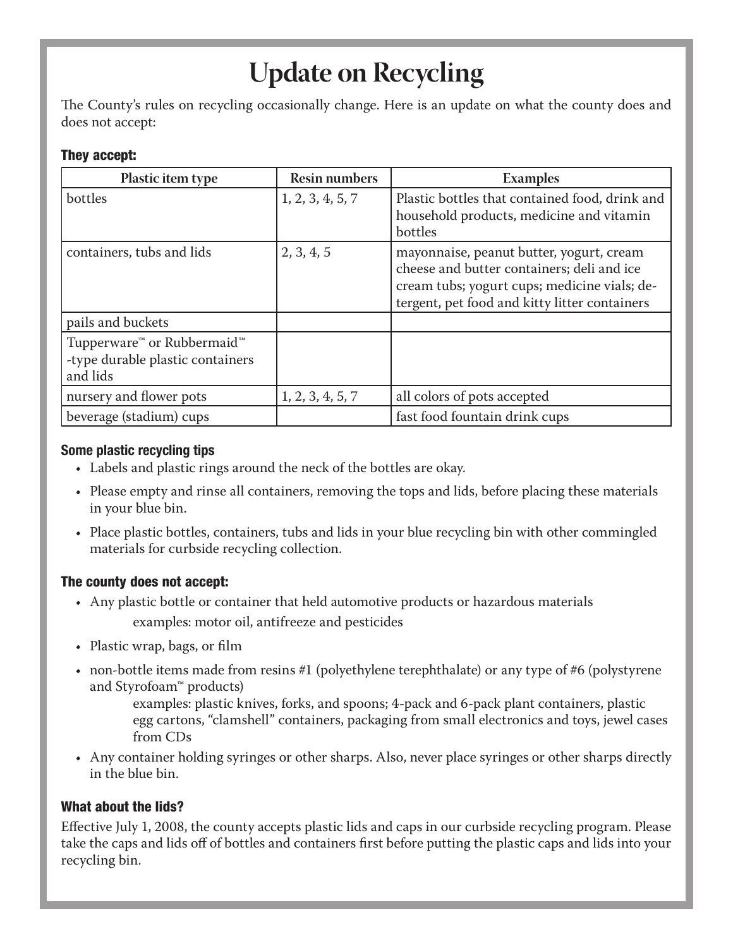## **Update on Recycling**

The County's rules on recycling occasionally change. Here is an update on what the county does and does not accept:

#### They accept:

| <b>Plastic item type</b>                                                                           | <b>Resin numbers</b> | <b>Examples</b>                                                                                                                                                                         |
|----------------------------------------------------------------------------------------------------|----------------------|-----------------------------------------------------------------------------------------------------------------------------------------------------------------------------------------|
| bottles                                                                                            | 1, 2, 3, 4, 5, 7     | Plastic bottles that contained food, drink and<br>household products, medicine and vitamin<br>bottles                                                                                   |
| containers, tubs and lids                                                                          | 2, 3, 4, 5           | mayonnaise, peanut butter, yogurt, cream<br>cheese and butter containers; deli and ice<br>cream tubs; yogurt cups; medicine vials; de-<br>tergent, pet food and kitty litter containers |
| pails and buckets                                                                                  |                      |                                                                                                                                                                                         |
| Tupperware <sup>™</sup> or Rubbermaid <sup>™</sup><br>-type durable plastic containers<br>and lids |                      |                                                                                                                                                                                         |
| nursery and flower pots                                                                            | 1, 2, 3, 4, 5, 7     | all colors of pots accepted                                                                                                                                                             |
| beverage (stadium) cups                                                                            |                      | fast food fountain drink cups                                                                                                                                                           |

#### Some plastic recycling tips

- • Labels and plastic rings around the neck of the bottles are okay.
- • Please empty and rinse all containers, removing the tops and lids, before placing these materials in your blue bin.
- Place plastic bottles, containers, tubs and lids in your blue recycling bin with other commingled materials for curbside recycling collection.

#### The county does not accept:

- Any plastic bottle or container that held automotive products or hazardous materials examples: motor oil, antifreeze and pesticides
- Plastic wrap, bags, or film
- non-bottle items made from resins #1 (polyethylene terephthalate) or any type of #6 (polystyrene and Styrofoam™ products)

examples: plastic knives, forks, and spoons; 4-pack and 6-pack plant containers, plastic egg cartons, "clamshell" containers, packaging from small electronics and toys, jewel cases from CDs

• Any container holding syringes or other sharps. Also, never place syringes or other sharps directly in the blue bin.

### What about the lids?

Effective July 1, 2008, the county accepts plastic lids and caps in our curbside recycling program. Please take the caps and lids off of bottles and containers first before putting the plastic caps and lids into your recycling bin.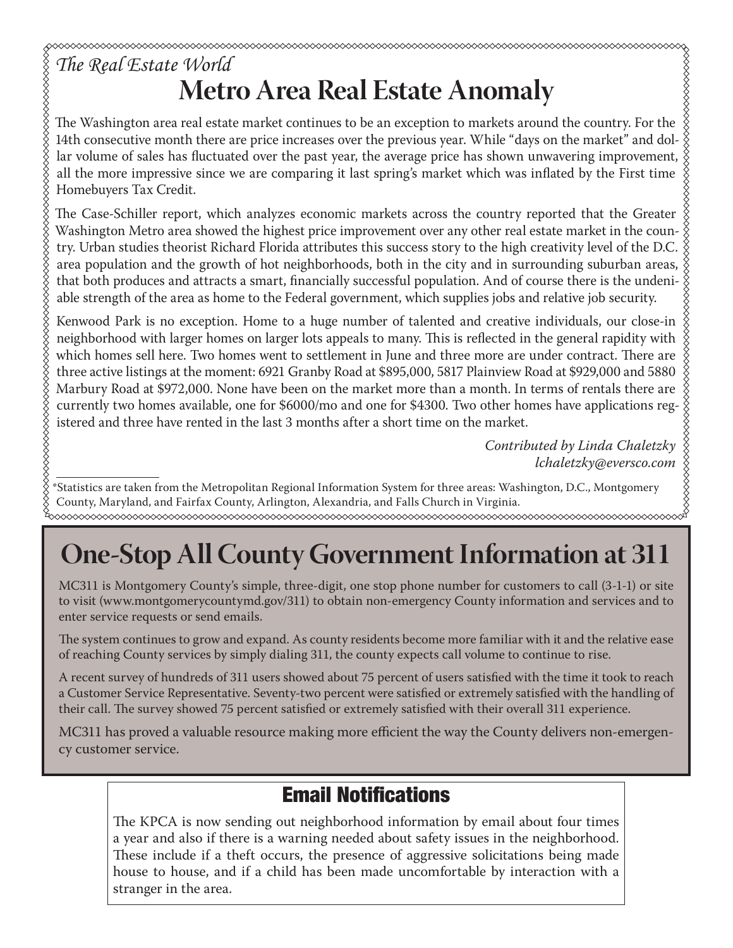## *The Real Estate World* **Metro Area Real Estate Anomaly**

The Washington area real estate market continues to be an exception to markets around the country. For the 14th consecutive month there are price increases over the previous year. While "days on the market" and dollar volume of sales has fluctuated over the past year, the average price has shown unwavering improvement, all the more impressive since we are comparing it last spring's market which was inflated by the First time Homebuyers Tax Credit.

The Case-Schiller report, which analyzes economic markets across the country reported that the Greater Washington Metro area showed the highest price improvement over any other real estate market in the country. Urban studies theorist Richard Florida attributes this success story to the high creativity level of the D.C. area population and the growth of hot neighborhoods, both in the city and in surrounding suburban areas, that both produces and attracts a smart, financially successful population. And of course there is the undeniable strength of the area as home to the Federal government, which supplies jobs and relative job security.

Kenwood Park is no exception. Home to a huge number of talented and creative individuals, our close-in neighborhood with larger homes on larger lots appeals to many. This is reflected in the general rapidity with which homes sell here. Two homes went to settlement in June and three more are under contract. There are three active listings at the moment: 6921 Granby Road at \$895,000, 5817 Plainview Road at \$929,000 and 5880 Marbury Road at \$972,000. None have been on the market more than a month. In terms of rentals there are currently two homes available, one for \$6000/mo and one for \$4300. Two other homes have applications registered and three have rented in the last 3 months after a short time on the market.

> *Contributed by Linda Chaletzky lchaletzky@eversco.com*

\*Statistics are taken from the Metropolitan Regional Information System for three areas: Washington, D.C., Montgomery County, Maryland, and Fairfax County, Arlington, Alexandria, and Falls Church in Virginia. 

# **One-Stop All County Government Information at 311**

MC311 is Montgomery County's simple, three-digit, one stop phone number for customers to call (3-1-1) or site to visit (www.montgomerycountymd.gov/311) to obtain non-emergency County information and services and to enter service requests or send emails.

The system continues to grow and expand. As county residents become more familiar with it and the relative ease of reaching County services by simply dialing 311, the county expects call volume to continue to rise.

A recent survey of hundreds of 311 users showed about 75 percent of users satisfied with the time it took to reach a Customer Service Representative. Seventy-two percent were satisfied or extremely satisfied with the handling of their call. The survey showed 75 percent satisfied or extremely satisfied with their overall 311 experience.

MC311 has proved a valuable resource making more efficient the way the County delivers non-emergency customer service.

### Email Notifications

The KPCA is now sending out neighborhood information by email about four times a year and also if there is a warning needed about safety issues in the neighborhood. These include if a theft occurs, the presence of aggressive solicitations being made house to house, and if a child has been made uncomfortable by interaction with a stranger in the area.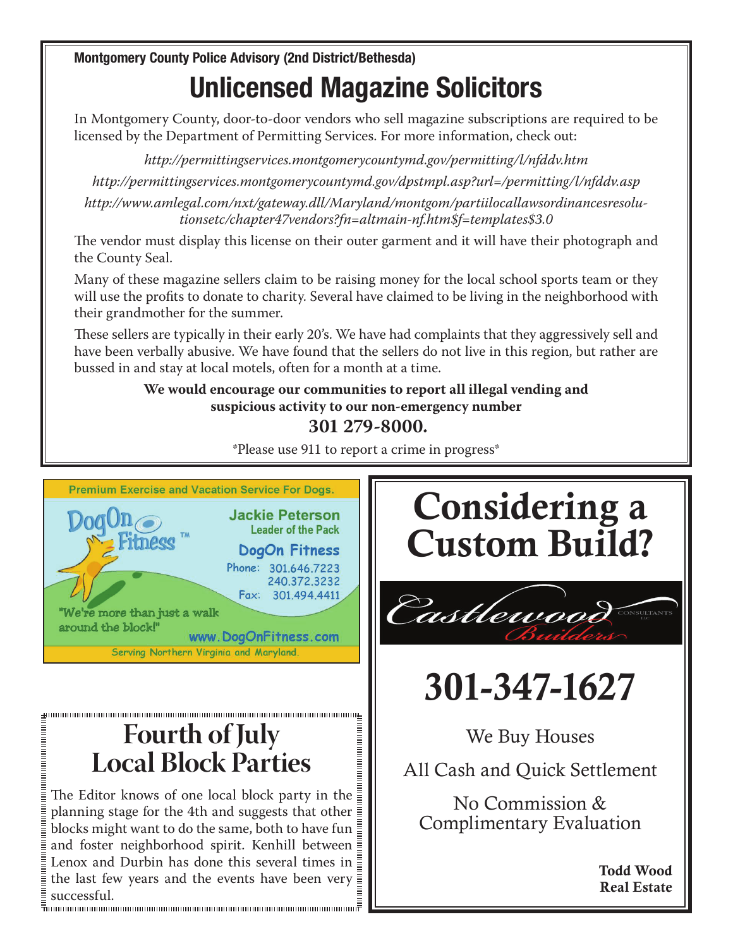Montgomery County Police Advisory (2nd District/Bethesda) Unlicensed Magazine Solicitors Theorem Contains  $\blacksquare$ 

In Montgomery County, door-to-door vendors who sell magazine subscriptions are required to be  $\qquad \parallel$ licensed by the Department of Permitting Services. For more information, check out:  $\|\cdot\|$ 

*http://permittingservices.montgomerycountymd.gov/permitting/l/nfddv.htm*  $\frac{1}{2}$ 

*http://permittingservices.montgomerycountymd.gov/dpstmpl.asp?url=/permitting/l/nfddv.asp* Crime reports are automatically uploaded to the site

*http://www.amlegal.com/nxt/gateway.dll/Maryland/montgom/partiilocallawsordinancesresolu*tionsetc/chapter47vendors?fn=altmain-nf.htm\$f=templates\$3.0  $\mathcal{A}^{\text{c}}$ reproducement number that residents can use that response the account of the ac-

The vendor must display this license on their outer garment and it will have their photograph and  $\qquad \qquad \mid$ the County Seal. other website, we connected  $\mathbb{R}^n$  website, where  $\mathbb{R}^n$ 

Many of these magazine sellers claim to be raising money for the local school sports team or they  $\qquad \qquad \parallel$ will use the profits to donate to charity. Several have claimed to be living in the neighborhood with  $\,$ their grandmother for the summer.

These sellers are typically in their early 20's. We have had complaints that they aggressively sell and These sellers are typically in their early 20's. We have had complaints that they aggressively sell and<br>have been verbally abusive. We have found that the sellers do not live in this region, but rather are bussed in and stay at local motels, often for a month at a time. In at a time.

**We would encourage our communities to report all illegal vending and**  $\parallel$ suspicious activity to our non-emergency number  $\|\cdot\|$ 

### $301\,279-8000.$

 $^{\ast}$ Please use 911 to report a crime in progress $^{\ast}$ 



## **Fourth of July Local Block Parties**

The Editor knows of one local block party in the planning stage for the 4th and suggests that other blocks might want to do the same, both to have fun and foster neighborhood spirit. Kenhill between Lenox and Durbin has done this several times in  $\bar{\bar{\bar{z}}}$ the last few years and the events have been very successful.

# Considering a | Custom Build? |



### 301-347-1627 **301-347-1627**  $-T$

We Buy Houses

All Cash and Quick Settlement No Commission & Complementary Evaluation

> No Commission & **Complimentary Evaluation Todd Wood**

> > Todd Wood Real Estate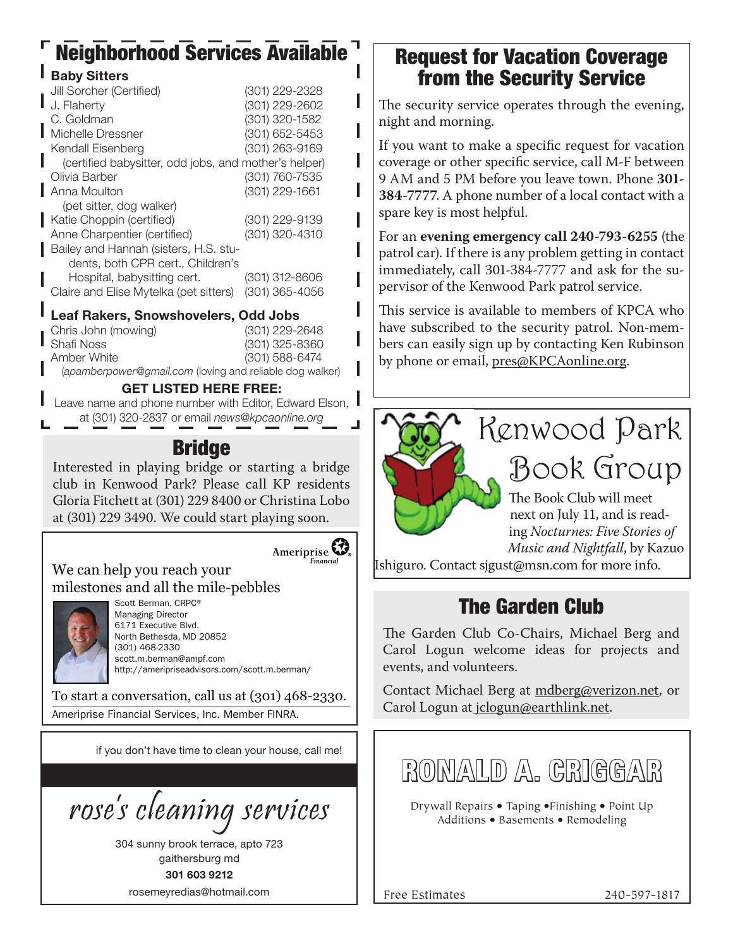## Neighborhood Services Available

| <b>Baby Sitters</b>                                   |                  |
|-------------------------------------------------------|------------------|
| Jill Sorcher (Certified)                              | (301) 229-2328   |
| J. Flaherty                                           | (301) 229-2602   |
| C. Goldman                                            | (301) 320-1582   |
| Michelle Dressner                                     | (301) 652-5453   |
| Kendall Eisenberg                                     | (301) 263-9169   |
| (certified babysitter, odd jobs, and mother's helper) |                  |
| Olivia Barber                                         | (301) 760-7535   |
| Anna Moulton                                          | (301) 229-1661   |
| (pet sitter, dog walker)                              |                  |
| Katie Choppin (certified)                             | (301) 229-9139   |
| Anne Charpentier (certified)                          | (301) 320-4310   |
| Bailey and Hannah (sisters, H.S. stu-                 |                  |
| dents, both CPR cert., Children's                     |                  |
| Hospital, babysitting cert.                           | (301) 312-8606   |
| Claire and Elise Mytelka (pet sitters)                | $(301)$ 365-4056 |
| Leaf Rakers, Snowshovelers, Odd Jobs                  |                  |

| Chris John (mowing)                                      | $(301)$ 229-2648 |
|----------------------------------------------------------|------------------|
| Shafi Noss                                               | $(301)$ 325-8360 |
| Amber White                                              | $(301)$ 588-6474 |
| (apamberpower@gmail.com (loving and reliable dog walker) |                  |

#### GET LISTED HERE FREE:

Leave name and phone number with Editor, Edward Elson, I at (301) 320-2837 or email *news@kpcaonline.org*

### **Bridge**

Interested in playing bridge or starting a bridge club in Kenwood Park? Please call KP residents Gloria Fitchett at (301) 229 8400 or Christina Lobo at (301) 229 3490. We could start playing soon.





Scott Berman, CRPC® Managing Director 6171 Executive Blvd. North Bethesda, MD 20852 (301) 468-2330 scott.m.berman@ampf.com http://ameripriseadvisors.com/scott.m.berman/

**Financial** 

To start a conversation, call us at (301) 468-2330. Ameriprise Financial Services, Inc. Member FINRA.

if you don't have time to clean your house, call me!

rose's cleaning services

304 sunny brook terrace, apto 723 gaithersburg md 301 603 9212 rosemeyredias@hotmail.com

### Request for Vacation Coverage from the Security Service

The security service operates through the evening, night and morning.

If you want to make a specific request for vacation coverage or other specific service, call M-F between 9 AM and 5 PM before you leave town. Phone **301- 384-7777**. A phone number of a local contact with a spare key is most helpful.

For an **evening emergency call 240-793-6255** (the patrol car). If there is any problem getting in contact immediately, call 301-384-7777 and ask for the supervisor of the Kenwood Park patrol service.

This service is available to members of KPCA who have subscribed to the security patrol. Non-members can easily sign up by contacting Ken Rubinson by phone or email, pres@KPCAonline.org.



ing *Nocturnes: Five Stories of Music and Nightfall*, by Kazuo

Ishiguro. Contact sjgust@msn.com for more info.

## The Garden Club

The Garden Club Co-Chairs, Michael Berg and Carol Logun welcome ideas for projects and events, and volunteers.

Contact Michael Berg at mdberg@verizon.net, or Carol Logun at jclogun@earthlink.net.

**RONALD A. CRIGGAR**

Drywall Repairs • Taping •Finishing • Point Up Additions • Basements • Remodeling

Free Estimates 240-597-1817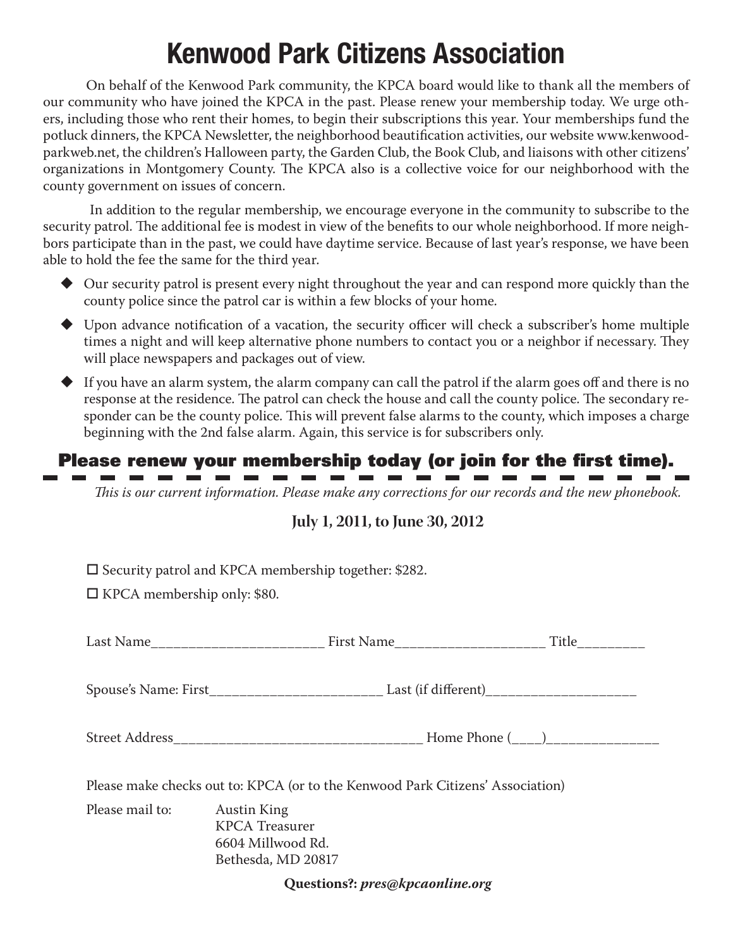## Kenwood Park Citizens Association

On behalf of the Kenwood Park community, the KPCA board would like to thank all the members of our community who have joined the KPCA in the past. Please renew your membership today. We urge others, including those who rent their homes, to begin their subscriptions this year. Your memberships fund the potluck dinners, the KPCA Newsletter, the neighborhood beautification activities, our website www.kenwoodparkweb.net, the children's Halloween party, the Garden Club, the Book Club, and liaisons with other citizens' organizations in Montgomery County. The KPCA also is a collective voice for our neighborhood with the county government on issues of concern.

 In addition to the regular membership, we encourage everyone in the community to subscribe to the security patrol. The additional fee is modest in view of the benefits to our whole neighborhood. If more neighbors participate than in the past, we could have daytime service. Because of last year's response, we have been able to hold the fee the same for the third year.

- Our security patrol is present every night throughout the year and can respond more quickly than the county police since the patrol car is within a few blocks of your home.
- Upon advance notification of a vacation, the security officer will check a subscriber's home multiple times a night and will keep alternative phone numbers to contact you or a neighbor if necessary. They will place newspapers and packages out of view.
- $\blacklozenge$  If you have an alarm system, the alarm company can call the patrol if the alarm goes off and there is no response at the residence. The patrol can check the house and call the county police. The secondary responder can be the county police. This will prevent false alarms to the county, which imposes a charge beginning with the 2nd false alarm. Again, this service is for subscribers only.

### Please renew your membership today (or join for the first time).

- - - - - - - -

*This is our current information. Please make any corrections for our records and the new phonebook.* 

### **July 1, 2011, to June 30, 2012**

 $\square$  Security patrol and KPCA membership together: \$282.

 $\Box$  KPCA membership only: \$80.

**Contract Contract Contract** 

| Please make checks out to: KPCA (or to the Kenwood Park Citizens' Association) |                                                                  |  |  |  |  |  |
|--------------------------------------------------------------------------------|------------------------------------------------------------------|--|--|--|--|--|
| Please mail to: Austin King                                                    | <b>KPCA</b> Treasurer<br>6604 Millwood Rd.<br>Bethesda, MD 20817 |  |  |  |  |  |

**Questions?:** *pres@kpcaonline.org*